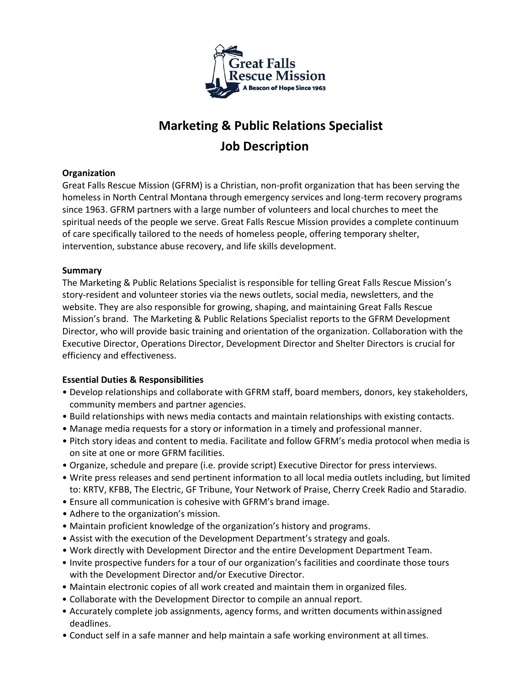

# **Marketing & Public Relations Specialist Job Description**

# **Organization**

Great Falls Rescue Mission (GFRM) is a Christian, non-profit organization that has been serving the homeless in North Central Montana through emergency services and long-term recovery programs since 1963. GFRM partners with a large number of volunteers and local churches to meet the spiritual needs of the people we serve. Great Falls Rescue Mission provides a complete continuum of care specifically tailored to the needs of homeless people, offering temporary shelter, intervention, substance abuse recovery, and life skills development.

# **Summary**

The Marketing & Public Relations Specialist is responsible for telling Great Falls Rescue Mission's story-resident and volunteer stories via the news outlets, social media, newsletters, and the website. They are also responsible for growing, shaping, and maintaining Great Falls Rescue Mission's brand. The Marketing & Public Relations Specialist reports to the GFRM Development Director, who will provide basic training and orientation of the organization. Collaboration with the Executive Director, Operations Director, Development Director and Shelter Directors is crucial for efficiency and effectiveness.

## **Essential Duties & Responsibilities**

- Develop relationships and collaborate with GFRM staff, board members, donors, key stakeholders, community members and partner agencies.
- Build relationships with news media contacts and maintain relationships with existing contacts.
- Manage media requests for a story or information in a timely and professional manner.
- Pitch story ideas and content to media. Facilitate and follow GFRM's media protocol when media is on site at one or more GFRM facilities.
- Organize, schedule and prepare (i.e. provide script) Executive Director for press interviews.
- Write press releases and send pertinent information to all local media outlets including, but limited to: KRTV, KFBB, The Electric, GF Tribune, Your Network of Praise, Cherry Creek Radio and Staradio.
- Ensure all communication is cohesive with GFRM's brand image.
- Adhere to the organization's mission.
- Maintain proficient knowledge of the organization's history and programs.
- Assist with the execution of the Development Department's strategy and goals.
- Work directly with Development Director and the entire Development Department Team.
- Invite prospective funders for a tour of our organization's facilities and coordinate those tours with the Development Director and/or Executive Director.
- Maintain electronic copies of all work created and maintain them in organized files.
- Collaborate with the Development Director to compile an annual report.
- Accurately complete job assignments, agency forms, and written documents withinassigned deadlines.
- Conduct self in a safe manner and help maintain a safe working environment at alltimes.